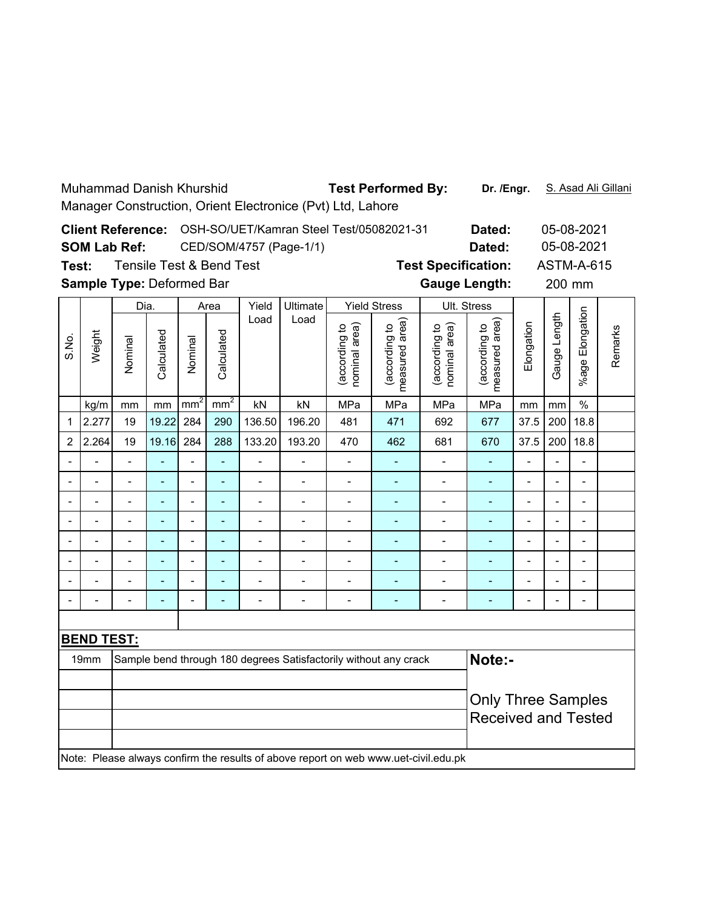| <b>Muhammad Danish Khurshid</b><br><b>Test Performed By:</b>                       |                                                                                     |                            |                          |                                          |                 |                              |                          |                                |                                 | Dr. /Engr.                     |                                    |                          | S. Asad Ali Gillani          |                          |         |  |
|------------------------------------------------------------------------------------|-------------------------------------------------------------------------------------|----------------------------|--------------------------|------------------------------------------|-----------------|------------------------------|--------------------------|--------------------------------|---------------------------------|--------------------------------|------------------------------------|--------------------------|------------------------------|--------------------------|---------|--|
| Manager Construction, Orient Electronice (Pvt) Ltd, Lahore                         |                                                                                     |                            |                          |                                          |                 |                              |                          |                                |                                 |                                |                                    |                          |                              |                          |         |  |
|                                                                                    |                                                                                     | <b>Client Reference:</b>   |                          | OSH-SO/UET/Kamran Steel Test/05082021-31 |                 |                              |                          |                                |                                 |                                |                                    | 05-08-2021               |                              |                          |         |  |
|                                                                                    |                                                                                     | <b>SOM Lab Ref:</b>        |                          |                                          |                 | CED/SOM/4757 (Page-1/1)      |                          | Dated:                         |                                 |                                | 05-08-2021                         |                          |                              |                          |         |  |
| <b>Tensile Test &amp; Bend Test</b><br><b>Test Specification:</b><br>Test:         |                                                                                     |                            |                          |                                          |                 |                              |                          |                                |                                 |                                | <b>ASTM-A-615</b>                  |                          |                              |                          |         |  |
| Sample Type: Deformed Bar<br><b>Gauge Length:</b><br>200 mm                        |                                                                                     |                            |                          |                                          |                 |                              |                          |                                |                                 |                                |                                    |                          |                              |                          |         |  |
|                                                                                    |                                                                                     | Dia.                       |                          | Area                                     |                 | Yield                        | Ultimate                 | <b>Yield Stress</b>            |                                 | Ult. Stress                    |                                    |                          |                              |                          |         |  |
| S.No.                                                                              | Weight                                                                              | Nominal                    | Calculated               | Nominal                                  | Calculated      | Load                         | Load                     | (according to<br>nominal area) | measured area)<br>(according to | nominal area)<br>(according to | area)<br>(according to<br>measured | Elongation               | Gauge Length                 | Elongation<br>%age l     | Remarks |  |
|                                                                                    | kg/m                                                                                | mm                         | mm                       | mm <sup>2</sup>                          | mm <sup>2</sup> | kN                           | kN                       | MPa                            | MPa                             | MPa                            | MPa                                | mm                       | mm                           | $\frac{0}{0}$            |         |  |
| 1                                                                                  | 2.277                                                                               | 19                         | 19.22                    | 284                                      | 290             | 136.50                       | 196.20                   | 481                            | 471                             | 692                            | 677                                | 37.5                     | 200                          | 18.8                     |         |  |
| 2                                                                                  | 2.264                                                                               | 19                         | 19.16                    | 284                                      | 288             | 133.20                       | 193.20                   | 470                            | 462                             | 681                            | 670                                | 37.5                     | 200                          | 18.8                     |         |  |
|                                                                                    |                                                                                     | $\blacksquare$             | L,                       | $\blacksquare$                           | $\blacksquare$  | $\overline{\phantom{a}}$     | $\overline{\phantom{0}}$ | $\overline{\phantom{a}}$       |                                 | $\overline{\phantom{a}}$       |                                    | $\blacksquare$           | $\overline{a}$               | $\overline{a}$           |         |  |
|                                                                                    |                                                                                     | $\overline{\phantom{0}}$   | ÷,                       | $\overline{a}$                           | $\overline{a}$  | $\qquad \qquad \blacksquare$ | $\overline{\phantom{0}}$ | $\overline{a}$                 | $\qquad \qquad \blacksquare$    | $\overline{\phantom{0}}$       |                                    | $\frac{1}{2}$            | $\blacksquare$               | $\overline{a}$           |         |  |
|                                                                                    |                                                                                     |                            |                          |                                          |                 |                              |                          |                                |                                 |                                | ÷,                                 | $\overline{a}$           |                              | $\overline{a}$           |         |  |
|                                                                                    |                                                                                     | $\blacksquare$             | ä,                       | $\overline{a}$                           | $\blacksquare$  | $\blacksquare$               | $\overline{\phantom{0}}$ | $\overline{a}$                 | $\overline{\phantom{a}}$        | $\blacksquare$                 | ÷,                                 | $\blacksquare$           | $\blacksquare$               | $\overline{a}$           |         |  |
|                                                                                    | $\blacksquare$                                                                      | $\overline{a}$             | $\overline{\phantom{a}}$ | $\overline{a}$                           | $\blacksquare$  | $\qquad \qquad \blacksquare$ | $\overline{\phantom{0}}$ | $\overline{\phantom{a}}$       | $\blacksquare$                  | $\overline{\phantom{a}}$       | ۰                                  | $\blacksquare$           | $\qquad \qquad \blacksquare$ | $\overline{\phantom{0}}$ |         |  |
|                                                                                    |                                                                                     | $\overline{a}$             | ÷,                       | $\overline{a}$                           | L,              | $\overline{a}$               | $\overline{a}$           | $\overline{a}$                 | L,                              | $\overline{a}$                 | L,                                 | $\overline{a}$           | L,                           | $\overline{a}$           |         |  |
|                                                                                    |                                                                                     | $\overline{a}$             | ÷                        | $\overline{a}$                           | $\overline{a}$  | $\overline{a}$               | $\overline{\phantom{m}}$ |                                |                                 | $\overline{a}$                 | ÷,                                 | $\overline{\phantom{a}}$ |                              | $\overline{a}$           |         |  |
|                                                                                    |                                                                                     |                            |                          |                                          |                 |                              |                          |                                |                                 |                                |                                    |                          |                              |                          |         |  |
|                                                                                    |                                                                                     |                            |                          |                                          |                 |                              |                          |                                |                                 |                                |                                    |                          |                              |                          |         |  |
| <b>BEND TEST:</b>                                                                  |                                                                                     |                            |                          |                                          |                 |                              |                          |                                |                                 |                                |                                    |                          |                              |                          |         |  |
| Note:-<br>19mm<br>Sample bend through 180 degrees Satisfactorily without any crack |                                                                                     |                            |                          |                                          |                 |                              |                          |                                |                                 |                                |                                    |                          |                              |                          |         |  |
|                                                                                    |                                                                                     |                            |                          |                                          |                 |                              |                          |                                |                                 |                                |                                    |                          |                              |                          |         |  |
|                                                                                    |                                                                                     | <b>Only Three Samples</b>  |                          |                                          |                 |                              |                          |                                |                                 |                                |                                    |                          |                              |                          |         |  |
|                                                                                    |                                                                                     | <b>Received and Tested</b> |                          |                                          |                 |                              |                          |                                |                                 |                                |                                    |                          |                              |                          |         |  |
|                                                                                    | Note: Please always confirm the results of above report on web www.uet-civil.edu.pk |                            |                          |                                          |                 |                              |                          |                                |                                 |                                |                                    |                          |                              |                          |         |  |